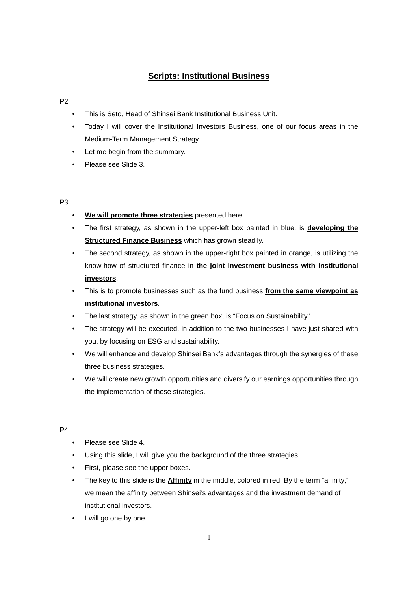# **Scripts: Institutional Business**

# P2

- This is Seto, Head of Shinsei Bank Institutional Business Unit.
- Today I will cover the Institutional Investors Business, one of our focus areas in the Medium-Term Management Strategy.
- Let me begin from the summary.
- Please see Slide 3.

# P3

- **We will promote three strategies** presented here.
- The first strategy, as shown in the upper-left box painted in blue, is **developing the Structured Finance Business** which has grown steadily.
- The second strategy, as shown in the upper-right box painted in orange, is utilizing the know-how of structured finance in **the joint investment business with institutional investors**.
- This is to promote businesses such as the fund business **from the same viewpoint as institutional investors**.
- The last strategy, as shown in the green box, is "Focus on Sustainability".
- The strategy will be executed, in addition to the two businesses I have just shared with you, by focusing on ESG and sustainability.
- We will enhance and develop Shinsei Bank's advantages through the synergies of these three business strategies.
- We will create new growth opportunities and diversify our earnings opportunities through the implementation of these strategies.

- Please see Slide 4.
- Using this slide, I will give you the background of the three strategies.
- First, please see the upper boxes.
- The key to this slide is the **Affinity** in the middle, colored in red. By the term "affinity," we mean the affinity between Shinsei's advantages and the investment demand of institutional investors.
- I will go one by one.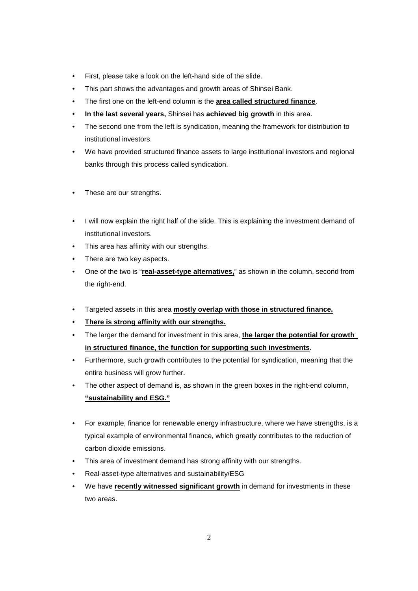- First, please take a look on the left-hand side of the slide.
- This part shows the advantages and growth areas of Shinsei Bank.
- The first one on the left-end column is the **area called structured finance**.
- **In the last several years,** Shinsei has **achieved big growth** in this area.
- The second one from the left is syndication, meaning the framework for distribution to institutional investors.
- We have provided structured finance assets to large institutional investors and regional banks through this process called syndication.
- These are our strengths.
- I will now explain the right half of the slide. This is explaining the investment demand of institutional investors.
- This area has affinity with our strengths.
- There are two key aspects.
- One of the two is "**real-asset-type alternatives,**" as shown in the column, second from the right-end.
- Targeted assets in this area **mostly overlap with those in structured finance.**
- **There is strong affinity with our strengths.**
- The larger the demand for investment in this area, **the larger the potential for growth in structured finance, the function for supporting such investments**.
- Furthermore, such growth contributes to the potential for syndication, meaning that the entire business will grow further.
- The other aspect of demand is, as shown in the green boxes in the right-end column, **"sustainability and ESG."**
- For example, finance for renewable energy infrastructure, where we have strengths, is a typical example of environmental finance, which greatly contributes to the reduction of carbon dioxide emissions.
- This area of investment demand has strong affinity with our strengths.
- Real-asset-type alternatives and sustainability/ESG
- We have **recently witnessed significant growth** in demand for investments in these two areas.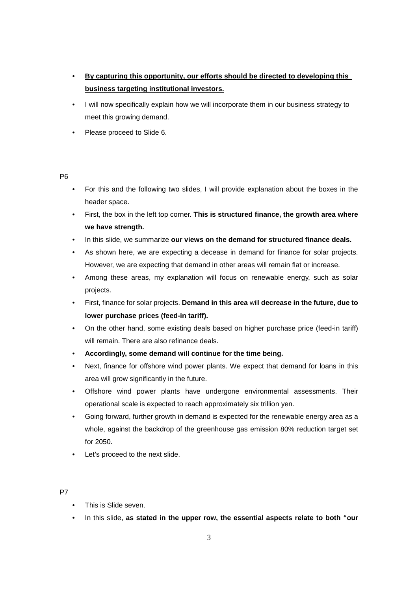- **By capturing this opportunity, our efforts should be directed to developing this business targeting institutional investors.**
- I will now specifically explain how we will incorporate them in our business strategy to meet this growing demand.
- Please proceed to Slide 6.

# P6

- For this and the following two slides, I will provide explanation about the boxes in the header space.
- First, the box in the left top corner. **This is structured finance, the growth area where we have strength.**
- In this slide, we summarize **our views on the demand for structured finance deals.**
- As shown here, we are expecting a decease in demand for finance for solar projects. However, we are expecting that demand in other areas will remain flat or increase.
- Among these areas, my explanation will focus on renewable energy, such as solar projects.
- First, finance for solar projects. **Demand in this area** will **decrease in the future, due to lower purchase prices (feed-in tariff).**
- On the other hand, some existing deals based on higher purchase price (feed-in tariff) will remain. There are also refinance deals.
- **Accordingly, some demand will continue for the time being.**
- Next, finance for offshore wind power plants. We expect that demand for loans in this area will grow significantly in the future.
- Offshore wind power plants have undergone environmental assessments. Their operational scale is expected to reach approximately six trillion yen.
- Going forward, further growth in demand is expected for the renewable energy area as a whole, against the backdrop of the greenhouse gas emission 80% reduction target set for 2050.
- Let's proceed to the next slide.

- This is Slide seven.
- In this slide, **as stated in the upper row, the essential aspects relate to both "our**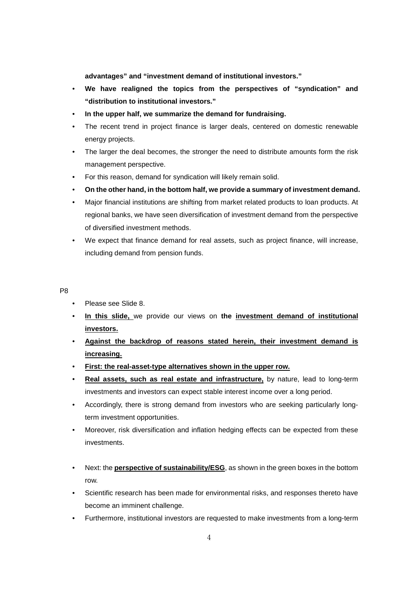**advantages" and "investment demand of institutional investors."** 

- **We have realigned the topics from the perspectives of "syndication" and "distribution to institutional investors."**
- **In the upper half, we summarize the demand for fundraising.**
- The recent trend in project finance is larger deals, centered on domestic renewable energy projects.
- The larger the deal becomes, the stronger the need to distribute amounts form the risk management perspective.
- For this reason, demand for syndication will likely remain solid.
- **On the other hand, in the bottom half, we provide a summary of investment demand.**
- Major financial institutions are shifting from market related products to loan products. At regional banks, we have seen diversification of investment demand from the perspective of diversified investment methods.
- We expect that finance demand for real assets, such as project finance, will increase, including demand from pension funds.

- Please see Slide 8.
- **In this slide,** we provide our views on **the investment demand of institutional investors.**
- **Against the backdrop of reasons stated herein, their investment demand is increasing.**
- **First: the real-asset-type alternatives shown in the upper row.**
- **Real assets, such as real estate and infrastructure,** by nature, lead to long-term investments and investors can expect stable interest income over a long period.
- Accordingly, there is strong demand from investors who are seeking particularly longterm investment opportunities.
- Moreover, risk diversification and inflation hedging effects can be expected from these investments.
- Next: the **perspective of sustainability/ESG**, as shown in the green boxes in the bottom row.
- Scientific research has been made for environmental risks, and responses thereto have become an imminent challenge.
- Furthermore, institutional investors are requested to make investments from a long-term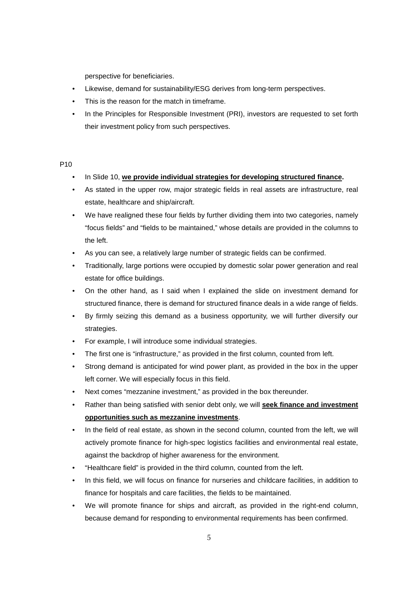perspective for beneficiaries.

- Likewise, demand for sustainability/ESG derives from long-term perspectives.
- This is the reason for the match in timeframe.
- In the Principles for Responsible Investment (PRI), investors are requested to set forth their investment policy from such perspectives.

- In Slide 10, **we provide individual strategies for developing structured finance.**
- As stated in the upper row, major strategic fields in real assets are infrastructure, real estate, healthcare and ship/aircraft.
- We have realigned these four fields by further dividing them into two categories, namely "focus fields" and "fields to be maintained," whose details are provided in the columns to the left.
- As you can see, a relatively large number of strategic fields can be confirmed.
- Traditionally, large portions were occupied by domestic solar power generation and real estate for office buildings.
- On the other hand, as I said when I explained the slide on investment demand for structured finance, there is demand for structured finance deals in a wide range of fields.
- By firmly seizing this demand as a business opportunity, we will further diversify our strategies.
- For example, I will introduce some individual strategies.
- The first one is "infrastructure," as provided in the first column, counted from left.
- Strong demand is anticipated for wind power plant, as provided in the box in the upper left corner. We will especially focus in this field.
- Next comes "mezzanine investment," as provided in the box thereunder.
- Rather than being satisfied with senior debt only, we will **seek finance and investment opportunities such as mezzanine investments**.
- In the field of real estate, as shown in the second column, counted from the left, we will actively promote finance for high-spec logistics facilities and environmental real estate, against the backdrop of higher awareness for the environment.
- "Healthcare field" is provided in the third column, counted from the left.
- In this field, we will focus on finance for nurseries and childcare facilities, in addition to finance for hospitals and care facilities, the fields to be maintained.
- We will promote finance for ships and aircraft, as provided in the right-end column, because demand for responding to environmental requirements has been confirmed.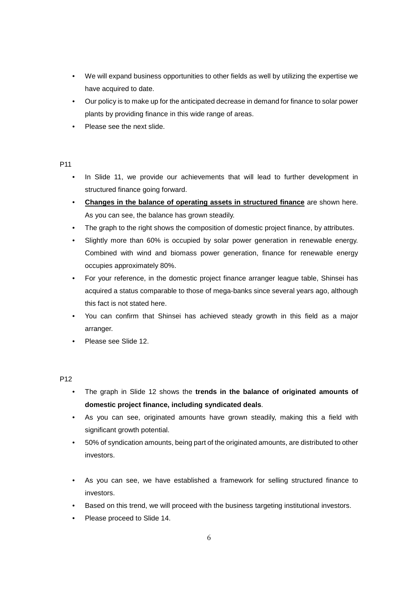- We will expand business opportunities to other fields as well by utilizing the expertise we have acquired to date.
- Our policy is to make up for the anticipated decrease in demand for finance to solar power plants by providing finance in this wide range of areas.
- Please see the next slide.

#### P11

- In Slide 11, we provide our achievements that will lead to further development in structured finance going forward.
- **Changes in the balance of operating assets in structured finance** are shown here. As you can see, the balance has grown steadily.
- The graph to the right shows the composition of domestic project finance, by attributes.
- Slightly more than 60% is occupied by solar power generation in renewable energy. Combined with wind and biomass power generation, finance for renewable energy occupies approximately 80%.
- For your reference, in the domestic project finance arranger league table, Shinsei has acquired a status comparable to those of mega-banks since several years ago, although this fact is not stated here.
- You can confirm that Shinsei has achieved steady growth in this field as a major arranger.
- Please see Slide 12.

- The graph in Slide 12 shows the **trends in the balance of originated amounts of domestic project finance, including syndicated deals**.
- As you can see, originated amounts have grown steadily, making this a field with significant growth potential.
- 50% of syndication amounts, being part of the originated amounts, are distributed to other investors.
- As you can see, we have established a framework for selling structured finance to investors.
- Based on this trend, we will proceed with the business targeting institutional investors.
- Please proceed to Slide 14.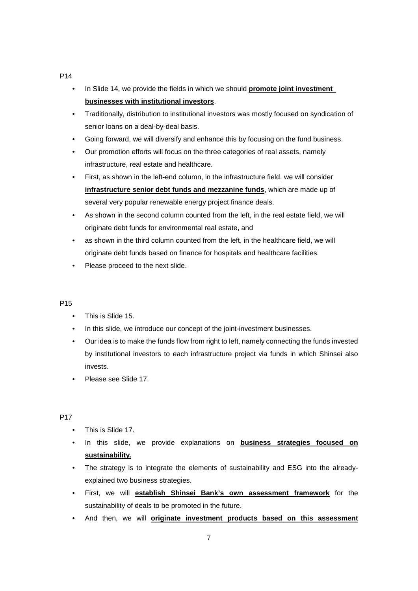#### P14

- In Slide 14, we provide the fields in which we should **promote joint investment businesses with institutional investors**.
- Traditionally, distribution to institutional investors was mostly focused on syndication of senior loans on a deal-by-deal basis.
- Going forward, we will diversify and enhance this by focusing on the fund business.
- Our promotion efforts will focus on the three categories of real assets, namely infrastructure, real estate and healthcare.
- First, as shown in the left-end column, in the infrastructure field, we will consider **infrastructure senior debt funds and mezzanine funds**, which are made up of several very popular renewable energy project finance deals.
- As shown in the second column counted from the left, in the real estate field, we will originate debt funds for environmental real estate, and
- as shown in the third column counted from the left, in the healthcare field, we will originate debt funds based on finance for hospitals and healthcare facilities.
- Please proceed to the next slide.

# P15

- This is Slide 15.
- In this slide, we introduce our concept of the joint-investment businesses.
- Our idea is to make the funds flow from right to left, namely connecting the funds invested by institutional investors to each infrastructure project via funds in which Shinsei also invests.
- Please see Slide 17.

- This is Slide 17.
- In this slide, we provide explanations on **business strategies focused on sustainability.**
- The strategy is to integrate the elements of sustainability and ESG into the alreadyexplained two business strategies.
- First, we will **establish Shinsei Bank's own assessment framework** for the sustainability of deals to be promoted in the future.
- And then, we will **originate investment products based on this assessment**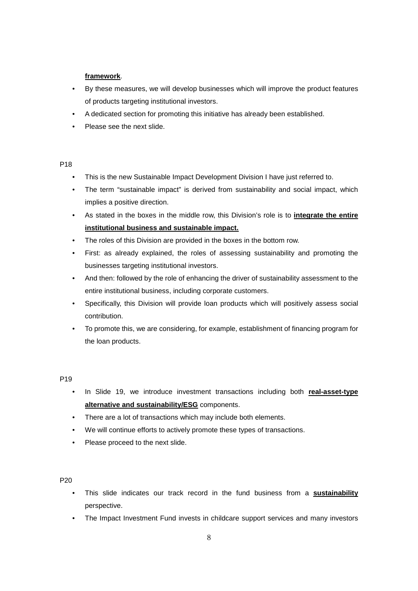### **framework**.

- By these measures, we will develop businesses which will improve the product features of products targeting institutional investors.
- A dedicated section for promoting this initiative has already been established.
- Please see the next slide.

#### P18

- This is the new Sustainable Impact Development Division I have just referred to.
- The term "sustainable impact" is derived from sustainability and social impact, which implies a positive direction.
- As stated in the boxes in the middle row, this Division's role is to **integrate the entire institutional business and sustainable impact.**
- The roles of this Division are provided in the boxes in the bottom row.
- First: as already explained, the roles of assessing sustainability and promoting the businesses targeting institutional investors.
- And then: followed by the role of enhancing the driver of sustainability assessment to the entire institutional business, including corporate customers.
- Specifically, this Division will provide loan products which will positively assess social contribution.
- To promote this, we are considering, for example, establishment of financing program for the loan products.

# P19

- In Slide 19, we introduce investment transactions including both **real-asset-type alternative and sustainability/ESG** components.
- There are a lot of transactions which may include both elements.
- We will continue efforts to actively promote these types of transactions.
- Please proceed to the next slide.

- This slide indicates our track record in the fund business from a **sustainability** perspective.
- The Impact Investment Fund invests in childcare support services and many investors